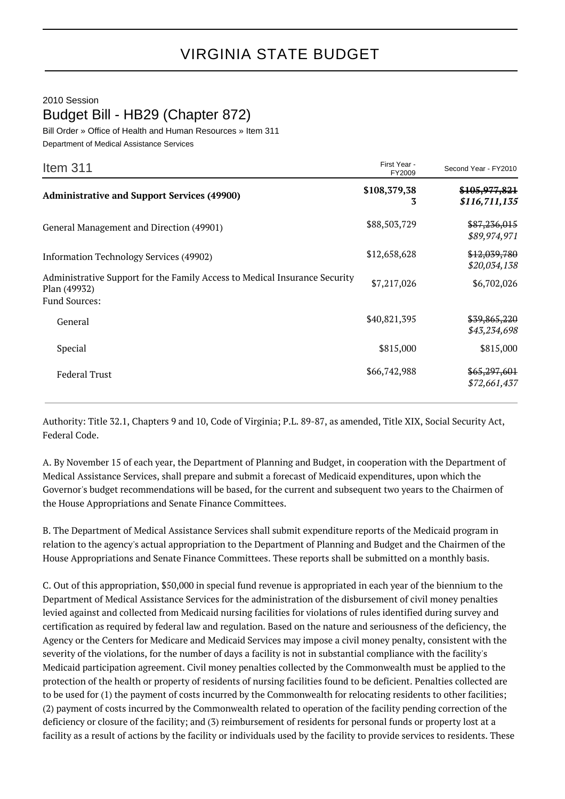## VIRGINIA STATE BUDGET

## 2010 Session Budget Bill - HB29 (Chapter 872)

Bill Order » Office of Health and Human Resources » Item 311 Department of Medical Assistance Services

| Item $311$                                                                                                         | First Year -<br>FY2009 | Second Year - FY2010                      |
|--------------------------------------------------------------------------------------------------------------------|------------------------|-------------------------------------------|
| <b>Administrative and Support Services (49900)</b>                                                                 | \$108,379,38<br>3      | <del>\$105,977,821</del><br>\$116,711,135 |
| General Management and Direction (49901)                                                                           | \$88,503,729           | \$87,236,015<br>\$89,974,971              |
| Information Technology Services (49902)                                                                            | \$12,658,628           | \$12,039,780<br>\$20,034,138              |
| Administrative Support for the Family Access to Medical Insurance Security<br>Plan (49932)<br><b>Fund Sources:</b> | \$7,217,026            | \$6,702,026                               |
| General                                                                                                            | \$40,821,395           | <del>\$39,865,220</del><br>\$43,234,698   |
| Special                                                                                                            | \$815,000              | \$815,000                                 |
| <b>Federal Trust</b>                                                                                               | \$66,742,988           | \$65,297,601<br>\$72,661,437              |

Authority: Title 32.1, Chapters 9 and 10, Code of Virginia; P.L. 89-87, as amended, Title XIX, Social Security Act, Federal Code.

A. By November 15 of each year, the Department of Planning and Budget, in cooperation with the Department of Medical Assistance Services, shall prepare and submit a forecast of Medicaid expenditures, upon which the Governor's budget recommendations will be based, for the current and subsequent two years to the Chairmen of the House Appropriations and Senate Finance Committees.

B. The Department of Medical Assistance Services shall submit expenditure reports of the Medicaid program in relation to the agency's actual appropriation to the Department of Planning and Budget and the Chairmen of the House Appropriations and Senate Finance Committees. These reports shall be submitted on a monthly basis.

C. Out of this appropriation, \$50,000 in special fund revenue is appropriated in each year of the biennium to the Department of Medical Assistance Services for the administration of the disbursement of civil money penalties levied against and collected from Medicaid nursing facilities for violations of rules identified during survey and certification as required by federal law and regulation. Based on the nature and seriousness of the deficiency, the Agency or the Centers for Medicare and Medicaid Services may impose a civil money penalty, consistent with the severity of the violations, for the number of days a facility is not in substantial compliance with the facility's Medicaid participation agreement. Civil money penalties collected by the Commonwealth must be applied to the protection of the health or property of residents of nursing facilities found to be deficient. Penalties collected are to be used for (1) the payment of costs incurred by the Commonwealth for relocating residents to other facilities; (2) payment of costs incurred by the Commonwealth related to operation of the facility pending correction of the deficiency or closure of the facility; and (3) reimbursement of residents for personal funds or property lost at a facility as a result of actions by the facility or individuals used by the facility to provide services to residents. These